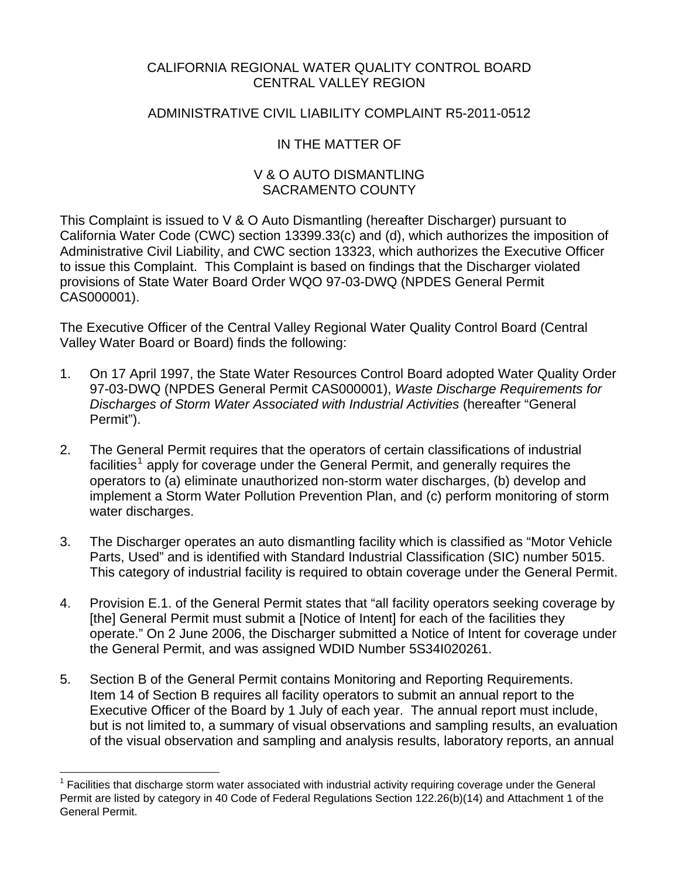# CALIFORNIA REGIONAL WATER QUALITY CONTROL BOARD CENTRAL VALLEY REGION

# ADMINISTRATIVE CIVIL LIABILITY COMPLAINT R5-2011-0512

# IN THE MATTER OF

# V & O AUTO DISMANTLING SACRAMENTO COUNTY

This Complaint is issued to V & O Auto Dismantling (hereafter Discharger) pursuant to California Water Code (CWC) section 13399.33(c) and (d), which authorizes the imposition of Administrative Civil Liability, and CWC section 13323, which authorizes the Executive Officer to issue this Complaint. This Complaint is based on findings that the Discharger violated provisions of State Water Board Order WQO 97-03-DWQ (NPDES General Permit CAS000001).

The Executive Officer of the Central Valley Regional Water Quality Control Board (Central Valley Water Board or Board) finds the following:

- 1. On 17 April 1997, the State Water Resources Control Board adopted Water Quality Order 97-03-DWQ (NPDES General Permit CAS000001), *Waste Discharge Requirements for Discharges of Storm Water Associated with Industrial Activities* (hereafter "General Permit").
- 2. The General Permit requires that the operators of certain classifications of industrial facilities<sup>[1](#page-0-0)</sup> apply for coverage under the General Permit, and generally requires the operators to (a) eliminate unauthorized non-storm water discharges, (b) develop and implement a Storm Water Pollution Prevention Plan, and (c) perform monitoring of storm water discharges.
- 3. The Discharger operates an auto dismantling facility which is classified as "Motor Vehicle Parts, Used" and is identified with Standard Industrial Classification (SIC) number 5015. This category of industrial facility is required to obtain coverage under the General Permit.
- 4. Provision E.1. of the General Permit states that "all facility operators seeking coverage by [the] General Permit must submit a [Notice of Intent] for each of the facilities they operate." On 2 June 2006, the Discharger submitted a Notice of Intent for coverage under the General Permit, and was assigned WDID Number 5S34I020261.
- 5. Section B of the General Permit contains Monitoring and Reporting Requirements. Item 14 of Section B requires all facility operators to submit an annual report to the Executive Officer of the Board by 1 July of each year. The annual report must include, but is not limited to, a summary of visual observations and sampling results, an evaluation of the visual observation and sampling and analysis results, laboratory reports, an annual

<u>.</u>

<span id="page-0-0"></span><sup>1</sup> Facilities that discharge storm water associated with industrial activity requiring coverage under the General Permit are listed by category in 40 Code of Federal Regulations Section 122.26(b)(14) and Attachment 1 of the General Permit.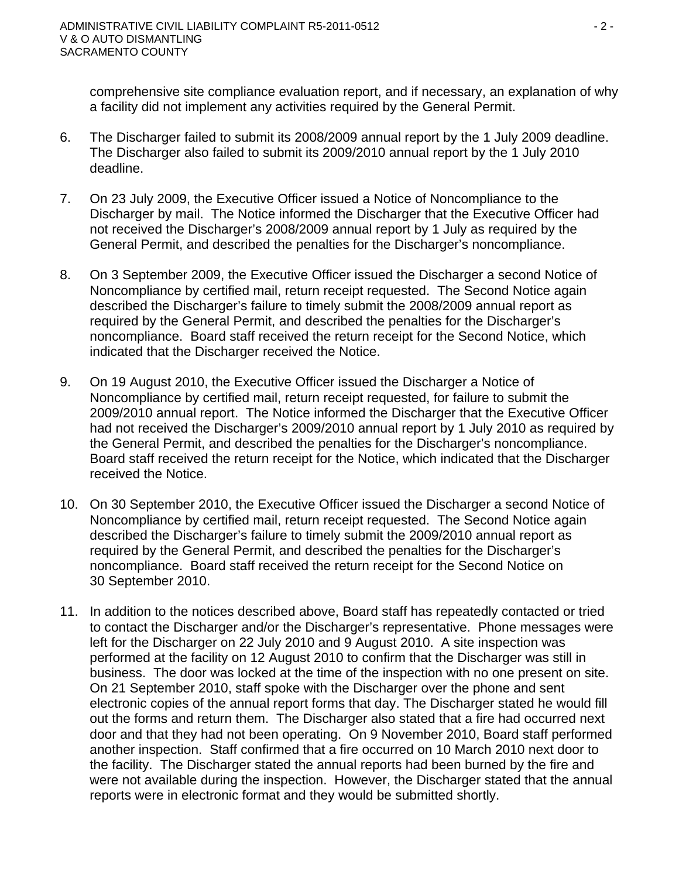comprehensive site compliance evaluation report, and if necessary, an explanation of why a facility did not implement any activities required by the General Permit.

- 6. The Discharger failed to submit its 2008/2009 annual report by the 1 July 2009 deadline. The Discharger also failed to submit its 2009/2010 annual report by the 1 July 2010 deadline.
- 7. On 23 July 2009, the Executive Officer issued a Notice of Noncompliance to the Discharger by mail. The Notice informed the Discharger that the Executive Officer had not received the Discharger's 2008/2009 annual report by 1 July as required by the General Permit, and described the penalties for the Discharger's noncompliance.
- 8. On 3 September 2009, the Executive Officer issued the Discharger a second Notice of Noncompliance by certified mail, return receipt requested. The Second Notice again described the Discharger's failure to timely submit the 2008/2009 annual report as required by the General Permit, and described the penalties for the Discharger's noncompliance. Board staff received the return receipt for the Second Notice, which indicated that the Discharger received the Notice.
- 9. On 19 August 2010, the Executive Officer issued the Discharger a Notice of Noncompliance by certified mail, return receipt requested, for failure to submit the 2009/2010 annual report. The Notice informed the Discharger that the Executive Officer had not received the Discharger's 2009/2010 annual report by 1 July 2010 as required by the General Permit, and described the penalties for the Discharger's noncompliance. Board staff received the return receipt for the Notice, which indicated that the Discharger received the Notice.
- 10. On 30 September 2010, the Executive Officer issued the Discharger a second Notice of Noncompliance by certified mail, return receipt requested. The Second Notice again described the Discharger's failure to timely submit the 2009/2010 annual report as required by the General Permit, and described the penalties for the Discharger's noncompliance. Board staff received the return receipt for the Second Notice on 30 September 2010.
- 11. In addition to the notices described above, Board staff has repeatedly contacted or tried to contact the Discharger and/or the Discharger's representative. Phone messages were left for the Discharger on 22 July 2010 and 9 August 2010. A site inspection was performed at the facility on 12 August 2010 to confirm that the Discharger was still in business. The door was locked at the time of the inspection with no one present on site. On 21 September 2010, staff spoke with the Discharger over the phone and sent electronic copies of the annual report forms that day. The Discharger stated he would fill out the forms and return them. The Discharger also stated that a fire had occurred next door and that they had not been operating. On 9 November 2010, Board staff performed another inspection. Staff confirmed that a fire occurred on 10 March 2010 next door to the facility. The Discharger stated the annual reports had been burned by the fire and were not available during the inspection. However, the Discharger stated that the annual reports were in electronic format and they would be submitted shortly.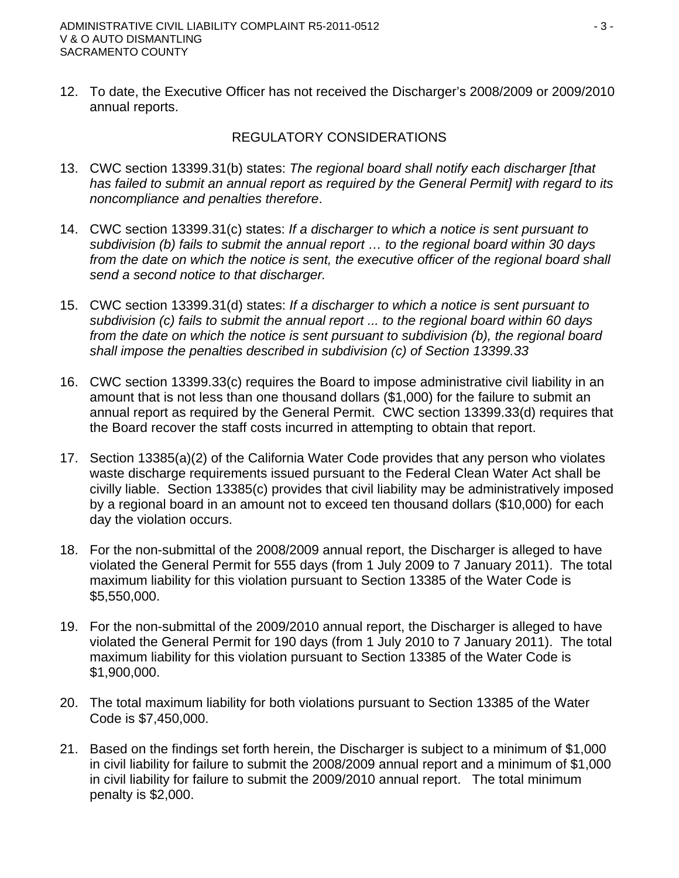12. To date, the Executive Officer has not received the Discharger's 2008/2009 or 2009/2010 annual reports.

## REGULATORY CONSIDERATIONS

- 13. CWC section 13399.31(b) states: *The regional board shall notify each discharger [that has failed to submit an annual report as required by the General Permit] with regard to its noncompliance and penalties therefore*.
- 14. CWC section 13399.31(c) states: *If a discharger to which a notice is sent pursuant to subdivision (b) fails to submit the annual report … to the regional board within 30 days*  from the date on which the notice is sent, the executive officer of the regional board shall *send a second notice to that discharger.*
- 15. CWC section 13399.31(d) states: *If a discharger to which a notice is sent pursuant to subdivision (c) fails to submit the annual report ... to the regional board within 60 days from the date on which the notice is sent pursuant to subdivision (b), the regional board shall impose the penalties described in subdivision (c) of Section 13399.33*
- 16. CWC section 13399.33(c) requires the Board to impose administrative civil liability in an amount that is not less than one thousand dollars (\$1,000) for the failure to submit an annual report as required by the General Permit. CWC section 13399.33(d) requires that the Board recover the staff costs incurred in attempting to obtain that report.
- 17. Section 13385(a)(2) of the California Water Code provides that any person who violates waste discharge requirements issued pursuant to the Federal Clean Water Act shall be civilly liable. Section 13385(c) provides that civil liability may be administratively imposed by a regional board in an amount not to exceed ten thousand dollars (\$10,000) for each day the violation occurs.
- 18. For the non-submittal of the 2008/2009 annual report, the Discharger is alleged to have violated the General Permit for 555 days (from 1 July 2009 to 7 January 2011). The total maximum liability for this violation pursuant to Section 13385 of the Water Code is \$5,550,000.
- 19. For the non-submittal of the 2009/2010 annual report, the Discharger is alleged to have violated the General Permit for 190 days (from 1 July 2010 to 7 January 2011). The total maximum liability for this violation pursuant to Section 13385 of the Water Code is \$1,900,000.
- 20. The total maximum liability for both violations pursuant to Section 13385 of the Water Code is \$7,450,000.
- 21. Based on the findings set forth herein, the Discharger is subject to a minimum of \$1,000 in civil liability for failure to submit the 2008/2009 annual report and a minimum of \$1,000 in civil liability for failure to submit the 2009/2010 annual report. The total minimum penalty is \$2,000.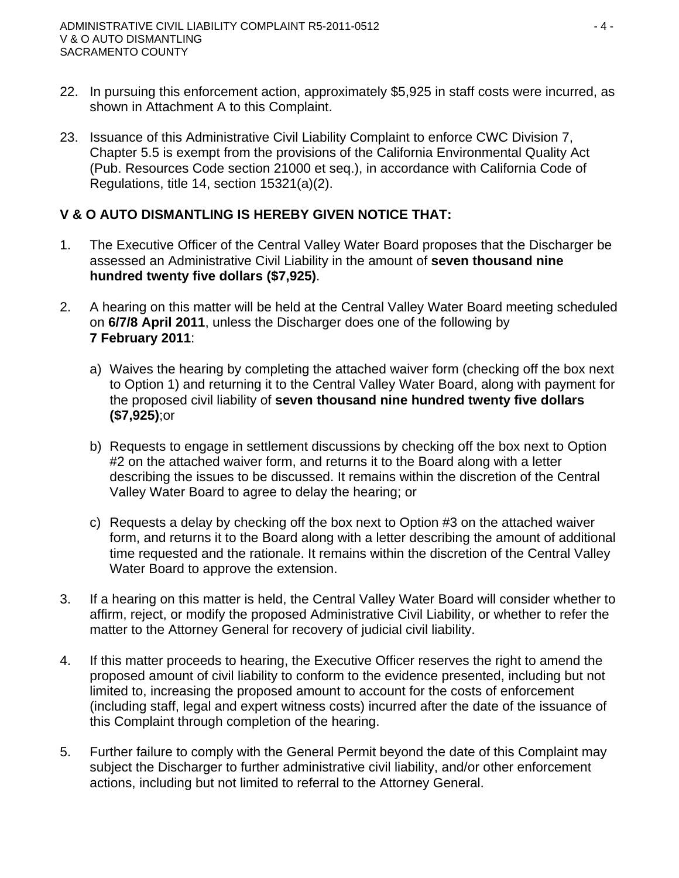- 22. In pursuing this enforcement action, approximately \$5,925 in staff costs were incurred, as shown in Attachment A to this Complaint.
- 23. Issuance of this Administrative Civil Liability Complaint to enforce CWC Division 7, Chapter 5.5 is exempt from the provisions of the California Environmental Quality Act (Pub. Resources Code section 21000 et seq.), in accordance with California Code of Regulations, title 14, section 15321(a)(2).

# **V & O AUTO DISMANTLING IS HEREBY GIVEN NOTICE THAT:**

- 1. The Executive Officer of the Central Valley Water Board proposes that the Discharger be assessed an Administrative Civil Liability in the amount of **seven thousand nine hundred twenty five dollars (\$7,925)**.
- 2. A hearing on this matter will be held at the Central Valley Water Board meeting scheduled on **6/7/8 April 2011**, unless the Discharger does one of the following by **7 February 2011**:
	- a) Waives the hearing by completing the attached waiver form (checking off the box next to Option 1) and returning it to the Central Valley Water Board, along with payment for the proposed civil liability of **seven thousand nine hundred twenty five dollars (\$7,925)**;or
	- b) Requests to engage in settlement discussions by checking off the box next to Option #2 on the attached waiver form, and returns it to the Board along with a letter describing the issues to be discussed. It remains within the discretion of the Central Valley Water Board to agree to delay the hearing; or
	- c) Requests a delay by checking off the box next to Option #3 on the attached waiver form, and returns it to the Board along with a letter describing the amount of additional time requested and the rationale. It remains within the discretion of the Central Valley Water Board to approve the extension.
- 3. If a hearing on this matter is held, the Central Valley Water Board will consider whether to affirm, reject, or modify the proposed Administrative Civil Liability, or whether to refer the matter to the Attorney General for recovery of judicial civil liability.
- 4. If this matter proceeds to hearing, the Executive Officer reserves the right to amend the proposed amount of civil liability to conform to the evidence presented, including but not limited to, increasing the proposed amount to account for the costs of enforcement (including staff, legal and expert witness costs) incurred after the date of the issuance of this Complaint through completion of the hearing.
- 5. Further failure to comply with the General Permit beyond the date of this Complaint may subject the Discharger to further administrative civil liability, and/or other enforcement actions, including but not limited to referral to the Attorney General.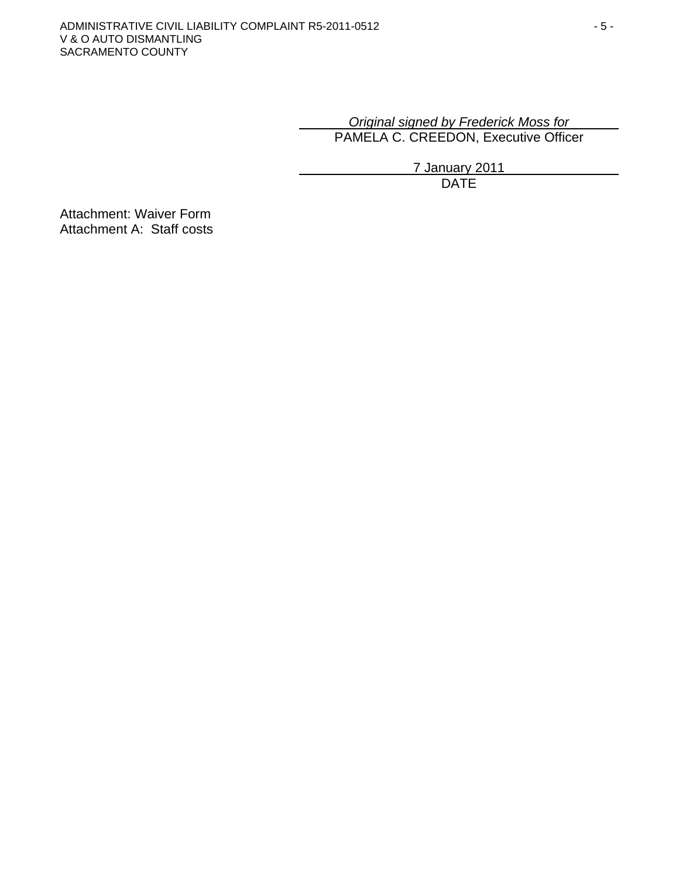# *Original signed by Frederick Moss for* PAMELA C. CREEDON, Executive Officer

7 January 2011 design and the contract of the contract of the DATE of the contract of the contract of the contract of the contract of the contract of the contract of the contract of the contract of the contract of the contract of the con

Attachment: Waiver Form Attachment A: Staff costs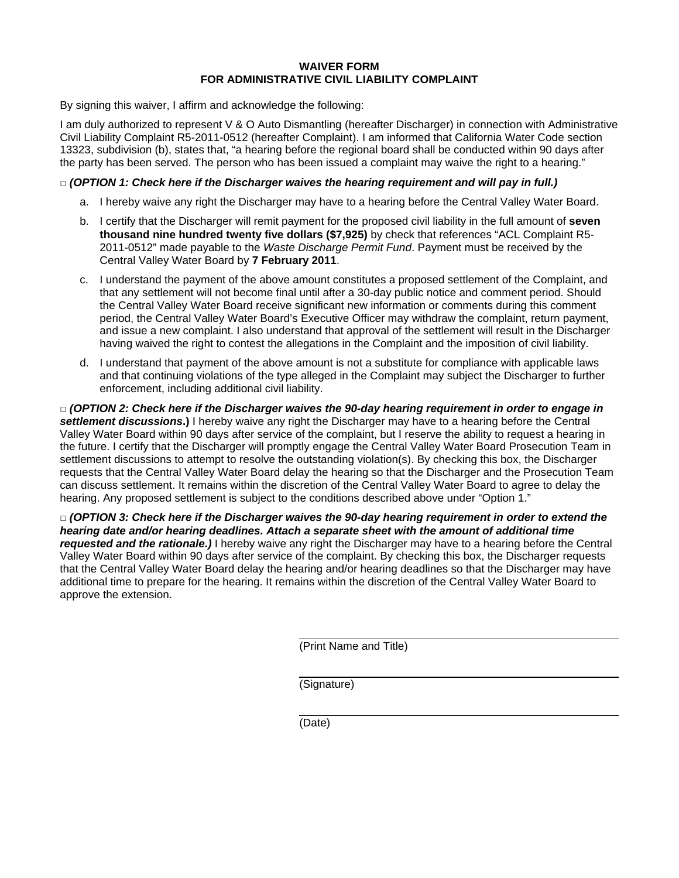#### **WAIVER FORM FOR ADMINISTRATIVE CIVIL LIABILITY COMPLAINT**

By signing this waiver, I affirm and acknowledge the following:

I am duly authorized to represent V & O Auto Dismantling (hereafter Discharger) in connection with Administrative Civil Liability Complaint R5-2011-0512 (hereafter Complaint). I am informed that California Water Code section 13323, subdivision (b), states that, "a hearing before the regional board shall be conducted within 90 days after the party has been served. The person who has been issued a complaint may waive the right to a hearing."

#### **□** *(OPTION 1: Check here if the Discharger waives the hearing requirement and will pay in full.)*

- a. I hereby waive any right the Discharger may have to a hearing before the Central Valley Water Board.
- b. I certify that the Discharger will remit payment for the proposed civil liability in the full amount of **seven thousand nine hundred twenty five dollars (\$7,925)** by check that references "ACL Complaint R5- 2011-0512" made payable to the *Waste Discharge Permit Fund*. Payment must be received by the Central Valley Water Board by **7 February 2011**.
- c. I understand the payment of the above amount constitutes a proposed settlement of the Complaint, and that any settlement will not become final until after a 30-day public notice and comment period. Should the Central Valley Water Board receive significant new information or comments during this comment period, the Central Valley Water Board's Executive Officer may withdraw the complaint, return payment, and issue a new complaint. I also understand that approval of the settlement will result in the Discharger having waived the right to contest the allegations in the Complaint and the imposition of civil liability.
- d. I understand that payment of the above amount is not a substitute for compliance with applicable laws and that continuing violations of the type alleged in the Complaint may subject the Discharger to further enforcement, including additional civil liability.

**□** *(OPTION 2: Check here if the Discharger waives the 90-day hearing requirement in order to engage in settlement discussions***.)** I hereby waive any right the Discharger may have to a hearing before the Central Valley Water Board within 90 days after service of the complaint, but I reserve the ability to request a hearing in the future. I certify that the Discharger will promptly engage the Central Valley Water Board Prosecution Team in settlement discussions to attempt to resolve the outstanding violation(s). By checking this box, the Discharger requests that the Central Valley Water Board delay the hearing so that the Discharger and the Prosecution Team can discuss settlement. It remains within the discretion of the Central Valley Water Board to agree to delay the hearing. Any proposed settlement is subject to the conditions described above under "Option 1."

**□** *(OPTION 3: Check here if the Discharger waives the 90-day hearing requirement in order to extend the hearing date and/or hearing deadlines. Attach a separate sheet with the amount of additional time requested and the rationale.)* I hereby waive any right the Discharger may have to a hearing before the Central Valley Water Board within 90 days after service of the complaint. By checking this box, the Discharger requests that the Central Valley Water Board delay the hearing and/or hearing deadlines so that the Discharger may have additional time to prepare for the hearing. It remains within the discretion of the Central Valley Water Board to approve the extension.

(Print Name and Title)

(Signature)

(Date)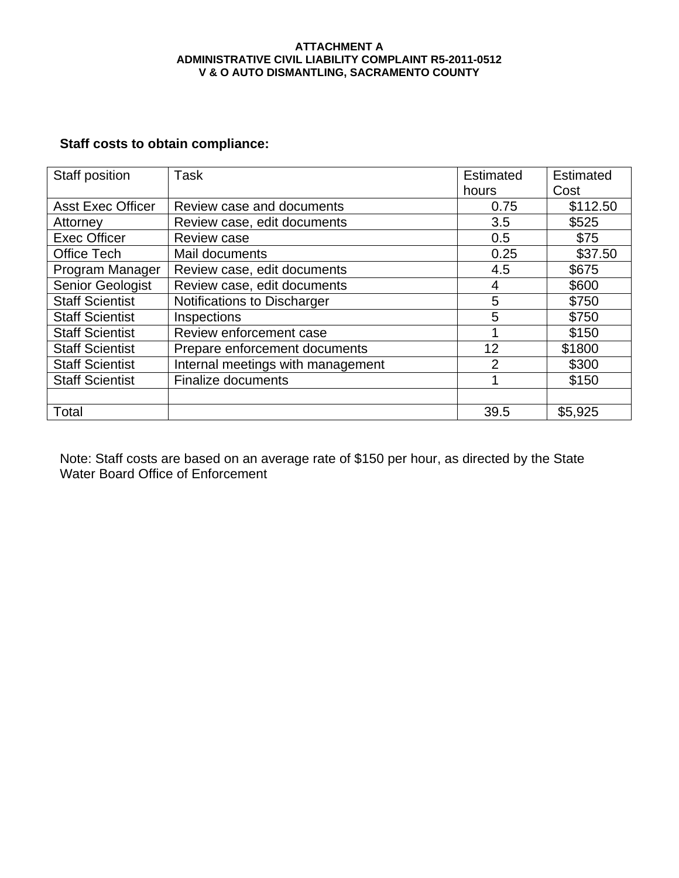#### **ATTACHMENT A ADMINISTRATIVE CIVIL LIABILITY COMPLAINT R5-2011-0512 V & O AUTO DISMANTLING, SACRAMENTO COUNTY**

# **Staff costs to obtain compliance:**

| Staff position           | Task                              | <b>Estimated</b> | <b>Estimated</b> |
|--------------------------|-----------------------------------|------------------|------------------|
|                          |                                   | hours            | Cost             |
| <b>Asst Exec Officer</b> | Review case and documents         | 0.75             | \$112.50         |
| Attorney                 | Review case, edit documents       | 3.5              | \$525            |
| <b>Exec Officer</b>      | Review case                       | 0.5              | \$75             |
| <b>Office Tech</b>       | Mail documents                    | 0.25             | \$37.50          |
| Program Manager          | Review case, edit documents       | 4.5              | \$675            |
| <b>Senior Geologist</b>  | Review case, edit documents       | 4                | \$600            |
| <b>Staff Scientist</b>   | Notifications to Discharger       | 5                | \$750            |
| <b>Staff Scientist</b>   | Inspections                       | 5                | \$750            |
| <b>Staff Scientist</b>   | Review enforcement case           |                  | \$150            |
| <b>Staff Scientist</b>   | Prepare enforcement documents     | 12               | \$1800           |
| <b>Staff Scientist</b>   | Internal meetings with management | $\overline{2}$   | \$300            |
| <b>Staff Scientist</b>   | <b>Finalize documents</b>         |                  | \$150            |
|                          |                                   |                  |                  |
| Total                    |                                   | 39.5             | \$5,925          |

Note: Staff costs are based on an average rate of \$150 per hour, as directed by the State Water Board Office of Enforcement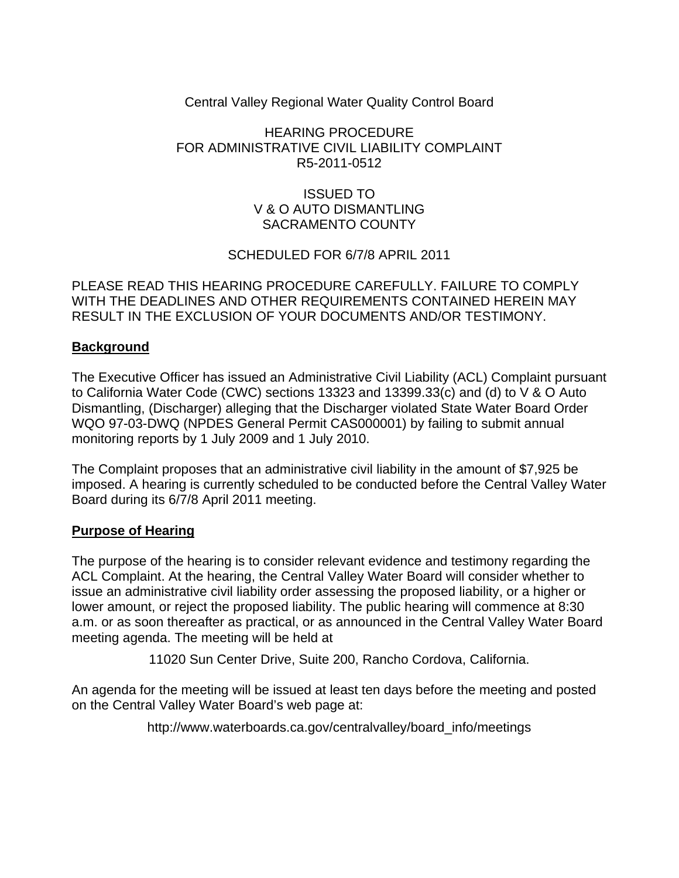# Central Valley Regional Water Quality Control Board

# HEARING PROCEDURE FOR ADMINISTRATIVE CIVIL LIABILITY COMPLAINT R5-2011-0512

# ISSUED TO V & O AUTO DISMANTLING SACRAMENTO COUNTY

# SCHEDULED FOR 6/7/8 APRIL 2011

PLEASE READ THIS HEARING PROCEDURE CAREFULLY. FAILURE TO COMPLY WITH THE DEADLINES AND OTHER REQUIREMENTS CONTAINED HEREIN MAY RESULT IN THE EXCLUSION OF YOUR DOCUMENTS AND/OR TESTIMONY.

# **Background**

The Executive Officer has issued an Administrative Civil Liability (ACL) Complaint pursuant to California Water Code (CWC) sections 13323 and 13399.33(c) and (d) to V & O Auto Dismantling, (Discharger) alleging that the Discharger violated State Water Board Order WQO 97-03-DWQ (NPDES General Permit CAS000001) by failing to submit annual monitoring reports by 1 July 2009 and 1 July 2010.

The Complaint proposes that an administrative civil liability in the amount of \$7,925 be imposed. A hearing is currently scheduled to be conducted before the Central Valley Water Board during its 6/7/8 April 2011 meeting.

#### **Purpose of Hearing**

The purpose of the hearing is to consider relevant evidence and testimony regarding the ACL Complaint. At the hearing, the Central Valley Water Board will consider whether to issue an administrative civil liability order assessing the proposed liability, or a higher or lower amount, or reject the proposed liability. The public hearing will commence at 8:30 a.m. or as soon thereafter as practical, or as announced in the Central Valley Water Board meeting agenda. The meeting will be held at

11020 Sun Center Drive, Suite 200, Rancho Cordova, California.

An agenda for the meeting will be issued at least ten days before the meeting and posted on the Central Valley Water Board's web page at:

http://www.waterboards.ca.gov/centralvalley/board\_info/meetings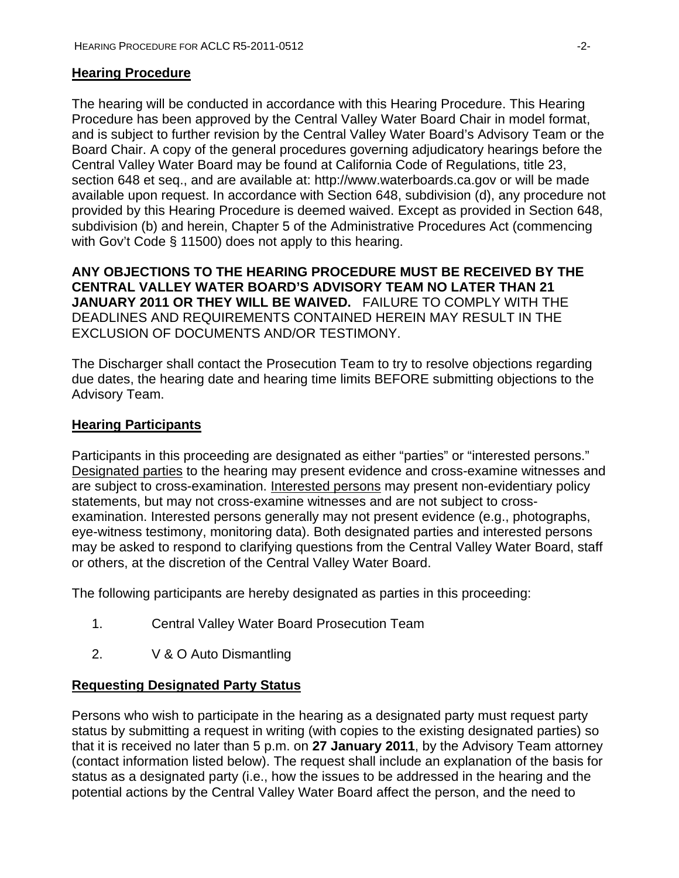### **Hearing Procedure**

The hearing will be conducted in accordance with this Hearing Procedure. This Hearing Procedure has been approved by the Central Valley Water Board Chair in model format, and is subject to further revision by the Central Valley Water Board's Advisory Team or the Board Chair. A copy of the general procedures governing adjudicatory hearings before the Central Valley Water Board may be found at California Code of Regulations, title 23, section 648 et seq., and are available at: http://www.waterboards.ca.gov or will be made available upon request. In accordance with Section 648, subdivision (d), any procedure not provided by this Hearing Procedure is deemed waived. Except as provided in Section 648, subdivision (b) and herein, Chapter 5 of the Administrative Procedures Act (commencing with Gov't Code § 11500) does not apply to this hearing.

**ANY OBJECTIONS TO THE HEARING PROCEDURE MUST BE RECEIVED BY THE CENTRAL VALLEY WATER BOARD'S ADVISORY TEAM NO LATER THAN 21 JANUARY 2011 OR THEY WILL BE WAIVED.** FAILURE TO COMPLY WITH THE DEADLINES AND REQUIREMENTS CONTAINED HEREIN MAY RESULT IN THE EXCLUSION OF DOCUMENTS AND/OR TESTIMONY.

The Discharger shall contact the Prosecution Team to try to resolve objections regarding due dates, the hearing date and hearing time limits BEFORE submitting objections to the Advisory Team.

### **Hearing Participants**

Participants in this proceeding are designated as either "parties" or "interested persons." Designated parties to the hearing may present evidence and cross-examine witnesses and are subject to cross-examination. Interested persons may present non-evidentiary policy statements, but may not cross-examine witnesses and are not subject to crossexamination. Interested persons generally may not present evidence (e.g., photographs, eye-witness testimony, monitoring data). Both designated parties and interested persons may be asked to respond to clarifying questions from the Central Valley Water Board, staff or others, at the discretion of the Central Valley Water Board.

The following participants are hereby designated as parties in this proceeding:

- 1. Central Valley Water Board Prosecution Team
- 2. V & O Auto Dismantling

#### **Requesting Designated Party Status**

Persons who wish to participate in the hearing as a designated party must request party status by submitting a request in writing (with copies to the existing designated parties) so that it is received no later than 5 p.m. on **27 January 2011**, by the Advisory Team attorney (contact information listed below). The request shall include an explanation of the basis for status as a designated party (i.e., how the issues to be addressed in the hearing and the potential actions by the Central Valley Water Board affect the person, and the need to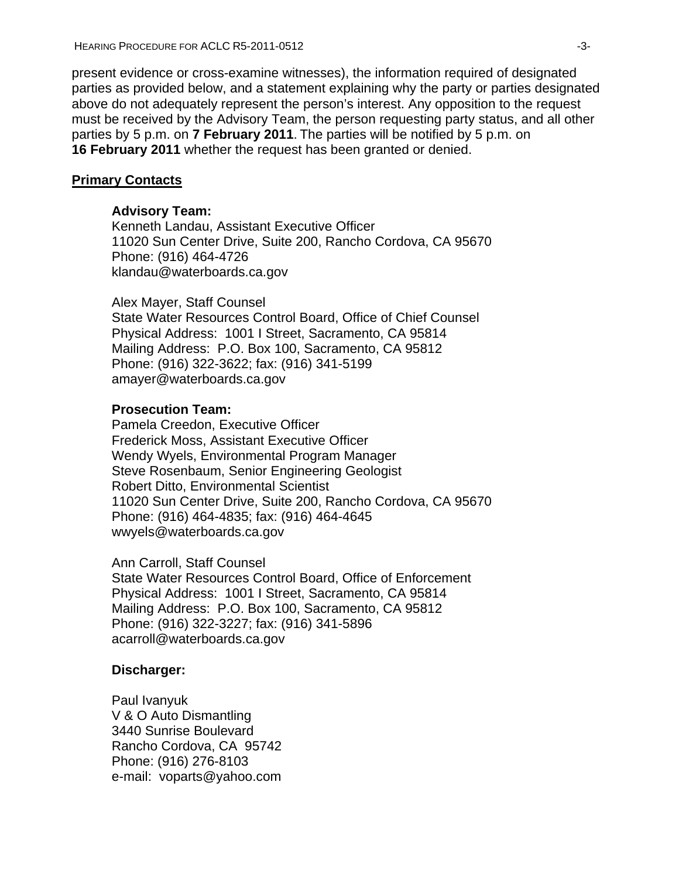present evidence or cross-examine witnesses), the information required of designated parties as provided below, and a statement explaining why the party or parties designated above do not adequately represent the person's interest. Any opposition to the request must be received by the Advisory Team, the person requesting party status, and all other parties by 5 p.m. on **7 February 2011**. The parties will be notified by 5 p.m. on **16 February 2011** whether the request has been granted or denied.

### **Primary Contacts**

#### **Advisory Team:**

Kenneth Landau, Assistant Executive Officer 11020 Sun Center Drive, Suite 200, Rancho Cordova, CA 95670 Phone: (916) 464-4726 klandau@waterboards.ca.gov

Alex Mayer, Staff Counsel State Water Resources Control Board, Office of Chief Counsel Physical Address: 1001 I Street, Sacramento, CA 95814 Mailing Address: P.O. Box 100, Sacramento, CA 95812 Phone: (916) 322-3622; fax: (916) 341-5199 amayer@waterboards.ca.gov

### **Prosecution Team:**

Pamela Creedon, Executive Officer Frederick Moss, Assistant Executive Officer Wendy Wyels, Environmental Program Manager Steve Rosenbaum, Senior Engineering Geologist Robert Ditto, Environmental Scientist 11020 Sun Center Drive, Suite 200, Rancho Cordova, CA 95670 Phone: (916) 464-4835; fax: (916) 464-4645 wwyels@waterboards.ca.gov

Ann Carroll, Staff Counsel State Water Resources Control Board, Office of Enforcement Physical Address: 1001 I Street, Sacramento, CA 95814 Mailing Address: P.O. Box 100, Sacramento, CA 95812 Phone: (916) 322-3227; fax: (916) 341-5896 acarroll@waterboards.ca.gov

# **Discharger:**

Paul Ivanyuk V & O Auto Dismantling 3440 Sunrise Boulevard Rancho Cordova, CA 95742 Phone: (916) 276-8103 e-mail: voparts@yahoo.com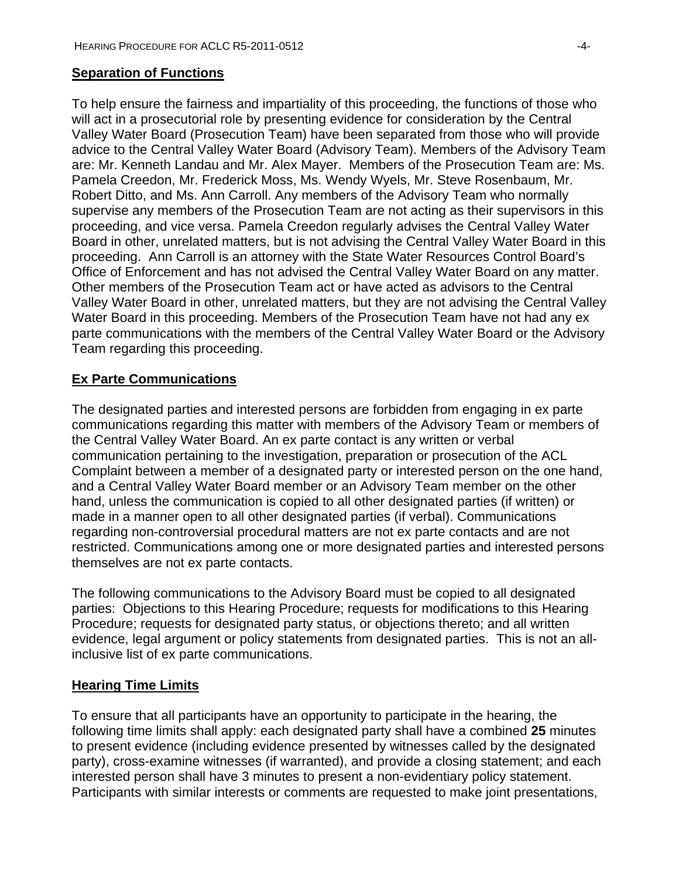### **Separation of Functions**

To help ensure the fairness and impartiality of this proceeding, the functions of those who will act in a prosecutorial role by presenting evidence for consideration by the Central Valley Water Board (Prosecution Team) have been separated from those who will provide advice to the Central Valley Water Board (Advisory Team). Members of the Advisory Team are: Mr. Kenneth Landau and Mr. Alex Mayer. Members of the Prosecution Team are: Ms. Pamela Creedon, Mr. Frederick Moss, Ms. Wendy Wyels, Mr. Steve Rosenbaum, Mr. Robert Ditto, and Ms. Ann Carroll. Any members of the Advisory Team who normally supervise any members of the Prosecution Team are not acting as their supervisors in this proceeding, and vice versa. Pamela Creedon regularly advises the Central Valley Water Board in other, unrelated matters, but is not advising the Central Valley Water Board in this proceeding. Ann Carroll is an attorney with the State Water Resources Control Board's Office of Enforcement and has not advised the Central Valley Water Board on any matter. Other members of the Prosecution Team act or have acted as advisors to the Central Valley Water Board in other, unrelated matters, but they are not advising the Central Valley Water Board in this proceeding. Members of the Prosecution Team have not had any ex parte communications with the members of the Central Valley Water Board or the Advisory Team regarding this proceeding.

# **Ex Parte Communications**

The designated parties and interested persons are forbidden from engaging in ex parte communications regarding this matter with members of the Advisory Team or members of the Central Valley Water Board. An ex parte contact is any written or verbal communication pertaining to the investigation, preparation or prosecution of the ACL Complaint between a member of a designated party or interested person on the one hand, and a Central Valley Water Board member or an Advisory Team member on the other hand, unless the communication is copied to all other designated parties (if written) or made in a manner open to all other designated parties (if verbal). Communications regarding non-controversial procedural matters are not ex parte contacts and are not restricted. Communications among one or more designated parties and interested persons themselves are not ex parte contacts.

The following communications to the Advisory Board must be copied to all designated parties: Objections to this Hearing Procedure; requests for modifications to this Hearing Procedure; requests for designated party status, or objections thereto; and all written evidence, legal argument or policy statements from designated parties. This is not an allinclusive list of ex parte communications.

#### **Hearing Time Limits**

To ensure that all participants have an opportunity to participate in the hearing, the following time limits shall apply: each designated party shall have a combined **25** minutes to present evidence (including evidence presented by witnesses called by the designated party), cross-examine witnesses (if warranted), and provide a closing statement; and each interested person shall have 3 minutes to present a non-evidentiary policy statement. Participants with similar interests or comments are requested to make joint presentations,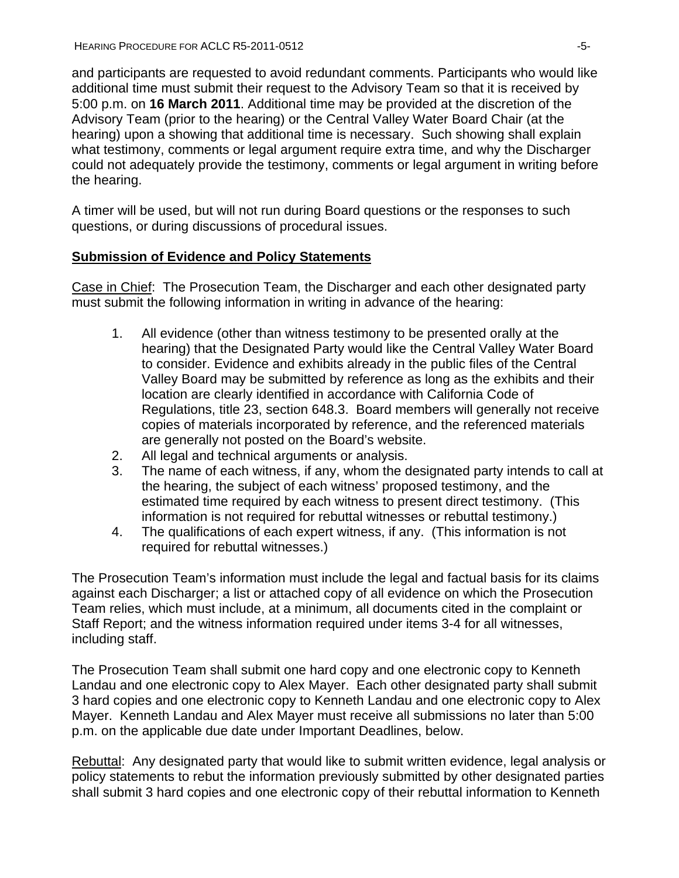and participants are requested to avoid redundant comments. Participants who would like additional time must submit their request to the Advisory Team so that it is received by 5:00 p.m. on **16 March 2011**. Additional time may be provided at the discretion of the Advisory Team (prior to the hearing) or the Central Valley Water Board Chair (at the hearing) upon a showing that additional time is necessary. Such showing shall explain what testimony, comments or legal argument require extra time, and why the Discharger could not adequately provide the testimony, comments or legal argument in writing before the hearing.

A timer will be used, but will not run during Board questions or the responses to such questions, or during discussions of procedural issues.

# **Submission of Evidence and Policy Statements**

Case in Chief: The Prosecution Team, the Discharger and each other designated party must submit the following information in writing in advance of the hearing:

- 1. All evidence (other than witness testimony to be presented orally at the hearing) that the Designated Party would like the Central Valley Water Board to consider. Evidence and exhibits already in the public files of the Central Valley Board may be submitted by reference as long as the exhibits and their location are clearly identified in accordance with California Code of Regulations, title 23, section 648.3. Board members will generally not receive copies of materials incorporated by reference, and the referenced materials are generally not posted on the Board's website.
- 2. All legal and technical arguments or analysis.
- 3. The name of each witness, if any, whom the designated party intends to call at the hearing, the subject of each witness' proposed testimony, and the estimated time required by each witness to present direct testimony. (This information is not required for rebuttal witnesses or rebuttal testimony.)
- 4. The qualifications of each expert witness, if any. (This information is not required for rebuttal witnesses.)

The Prosecution Team's information must include the legal and factual basis for its claims against each Discharger; a list or attached copy of all evidence on which the Prosecution Team relies, which must include, at a minimum, all documents cited in the complaint or Staff Report; and the witness information required under items 3-4 for all witnesses, including staff.

The Prosecution Team shall submit one hard copy and one electronic copy to Kenneth Landau and one electronic copy to Alex Mayer. Each other designated party shall submit 3 hard copies and one electronic copy to Kenneth Landau and one electronic copy to Alex Mayer. Kenneth Landau and Alex Mayer must receive all submissions no later than 5:00 p.m. on the applicable due date under Important Deadlines, below.

Rebuttal: Any designated party that would like to submit written evidence, legal analysis or policy statements to rebut the information previously submitted by other designated parties shall submit 3 hard copies and one electronic copy of their rebuttal information to Kenneth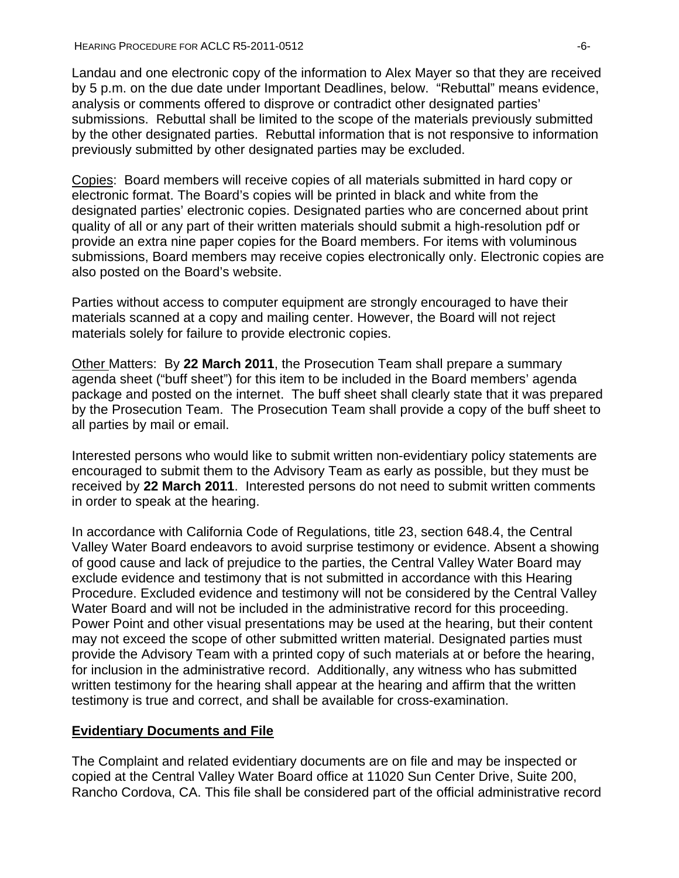Landau and one electronic copy of the information to Alex Mayer so that they are received by 5 p.m. on the due date under Important Deadlines, below. "Rebuttal" means evidence, analysis or comments offered to disprove or contradict other designated parties' submissions. Rebuttal shall be limited to the scope of the materials previously submitted by the other designated parties. Rebuttal information that is not responsive to information previously submitted by other designated parties may be excluded.

Copies: Board members will receive copies of all materials submitted in hard copy or electronic format. The Board's copies will be printed in black and white from the designated parties' electronic copies. Designated parties who are concerned about print quality of all or any part of their written materials should submit a high-resolution pdf or provide an extra nine paper copies for the Board members. For items with voluminous submissions, Board members may receive copies electronically only. Electronic copies are also posted on the Board's website.

Parties without access to computer equipment are strongly encouraged to have their materials scanned at a copy and mailing center. However, the Board will not reject materials solely for failure to provide electronic copies.

Other Matters: By **22 March 2011**, the Prosecution Team shall prepare a summary agenda sheet ("buff sheet") for this item to be included in the Board members' agenda package and posted on the internet. The buff sheet shall clearly state that it was prepared by the Prosecution Team. The Prosecution Team shall provide a copy of the buff sheet to all parties by mail or email.

Interested persons who would like to submit written non-evidentiary policy statements are encouraged to submit them to the Advisory Team as early as possible, but they must be received by **22 March 2011**. Interested persons do not need to submit written comments in order to speak at the hearing.

In accordance with California Code of Regulations, title 23, section 648.4, the Central Valley Water Board endeavors to avoid surprise testimony or evidence. Absent a showing of good cause and lack of prejudice to the parties, the Central Valley Water Board may exclude evidence and testimony that is not submitted in accordance with this Hearing Procedure. Excluded evidence and testimony will not be considered by the Central Valley Water Board and will not be included in the administrative record for this proceeding. Power Point and other visual presentations may be used at the hearing, but their content may not exceed the scope of other submitted written material. Designated parties must provide the Advisory Team with a printed copy of such materials at or before the hearing, for inclusion in the administrative record. Additionally, any witness who has submitted written testimony for the hearing shall appear at the hearing and affirm that the written testimony is true and correct, and shall be available for cross-examination.

# **Evidentiary Documents and File**

The Complaint and related evidentiary documents are on file and may be inspected or copied at the Central Valley Water Board office at 11020 Sun Center Drive, Suite 200, Rancho Cordova, CA. This file shall be considered part of the official administrative record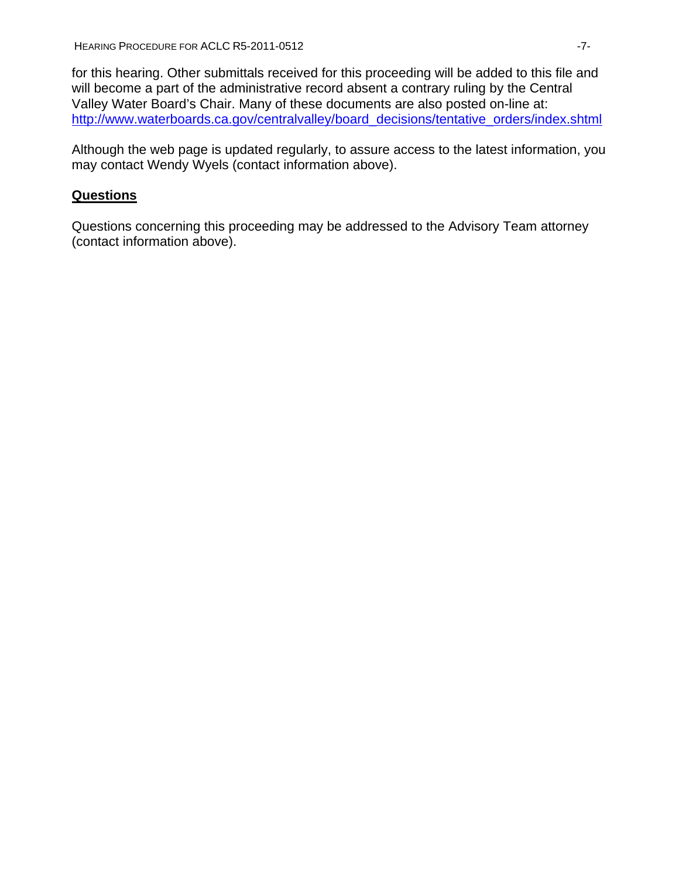for this hearing. Other submittals received for this proceeding will be added to this file and will become a part of the administrative record absent a contrary ruling by the Central Valley Water Board's Chair. Many of these documents are also posted on-line at: [http://www.waterboards.ca.gov/centralvalley/board\\_decisions/tentative\\_orders/index.shtml](http://www.waterboards.ca.gov/centralvalley/board_decisions/tentative_orders/index.shtml)

Although the web page is updated regularly, to assure access to the latest information, you may contact Wendy Wyels (contact information above).

# **Questions**

Questions concerning this proceeding may be addressed to the Advisory Team attorney (contact information above).